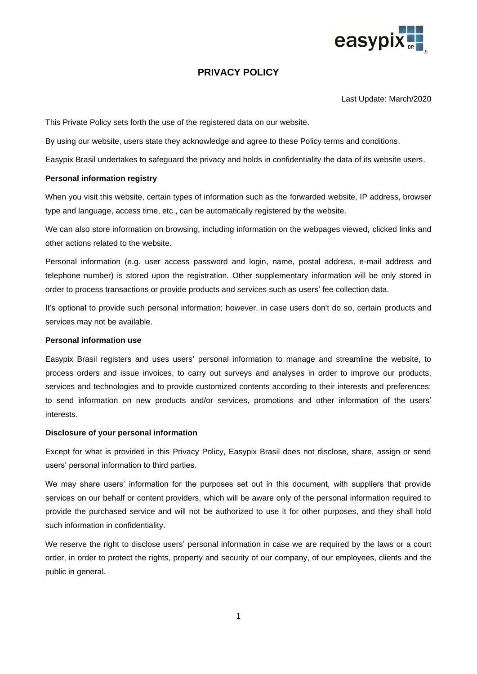

# **PRIVACY POLICY**

Last Update: March/2020

This Private Policy sets forth the use of the registered data on our website.

By using our website, users state they acknowledge and agree to these Policy terms and conditions.

Easypix Brasil undertakes to safeguard the privacy and holds in confidentiality the data of its website users.

## **Personal information registry**

When you visit this website, certain types of information such as the forwarded website, IP address, browser type and language, access time, etc., can be automatically registered by the website.

We can also store information on browsing, including information on the webpages viewed, clicked links and other actions related to the website.

Personal information (e.g. user access password and login, name, postal address, e-mail address and telephone number) is stored upon the registration. Other supplementary information will be only stored in order to process transactions or provide products and services such as users' fee collection data.

It's optional to provide such personal information; however, in case users don't do so, certain products and services may not be available.

## **Personal information use**

Easypix Brasil registers and uses users' personal information to manage and streamline the website, to process orders and issue invoices, to carry out surveys and analyses in order to improve our products, services and technologies and to provide customized contents according to their interests and preferences; to send information on new products and/or services, promotions and other information of the users' interests.

#### **Disclosure of your personal information**

Except for what is provided in this Privacy Policy, Easypix Brasil does not disclose, share, assign or send users' personal information to third parties.

We may share users' information for the purposes set out in this document, with suppliers that provide services on our behalf or content providers, which will be aware only of the personal information required to provide the purchased service and will not be authorized to use it for other purposes, and they shall hold such information in confidentiality.

We reserve the right to disclose users' personal information in case we are required by the laws or a court order, in order to protect the rights, property and security of our company, of our employees, clients and the public in general.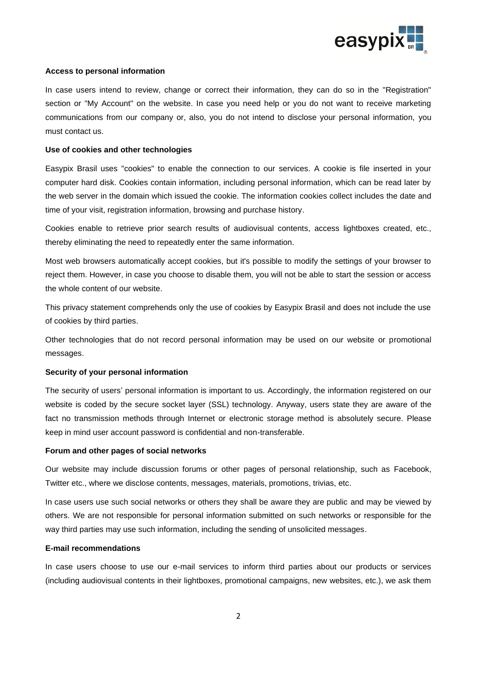

#### **Access to personal information**

In case users intend to review, change or correct their information, they can do so in the "Registration" section or "My Account" on the website. In case you need help or you do not want to receive marketing communications from our company or, also, you do not intend to disclose your personal information, you must contact us.

## **Use of cookies and other technologies**

Easypix Brasil uses "cookies" to enable the connection to our services. A cookie is file inserted in your computer hard disk. Cookies contain information, including personal information, which can be read later by the web server in the domain which issued the cookie. The information cookies collect includes the date and time of your visit, registration information, browsing and purchase history.

Cookies enable to retrieve prior search results of audiovisual contents, access lightboxes created, etc., thereby eliminating the need to repeatedly enter the same information.

Most web browsers automatically accept cookies, but it's possible to modify the settings of your browser to reject them. However, in case you choose to disable them, you will not be able to start the session or access the whole content of our website.

This privacy statement comprehends only the use of cookies by Easypix Brasil and does not include the use of cookies by third parties.

Other technologies that do not record personal information may be used on our website or promotional messages.

#### **Security of your personal information**

The security of users' personal information is important to us. Accordingly, the information registered on our website is coded by the secure socket layer (SSL) technology. Anyway, users state they are aware of the fact no transmission methods through Internet or electronic storage method is absolutely secure. Please keep in mind user account password is confidential and non-transferable.

#### **Forum and other pages of social networks**

Our website may include discussion forums or other pages of personal relationship, such as Facebook, Twitter etc., where we disclose contents, messages, materials, promotions, trivias, etc.

In case users use such social networks or others they shall be aware they are public and may be viewed by others. We are not responsible for personal information submitted on such networks or responsible for the way third parties may use such information, including the sending of unsolicited messages.

#### **E-mail recommendations**

In case users choose to use our e-mail services to inform third parties about our products or services (including audiovisual contents in their lightboxes, promotional campaigns, new websites, etc.), we ask them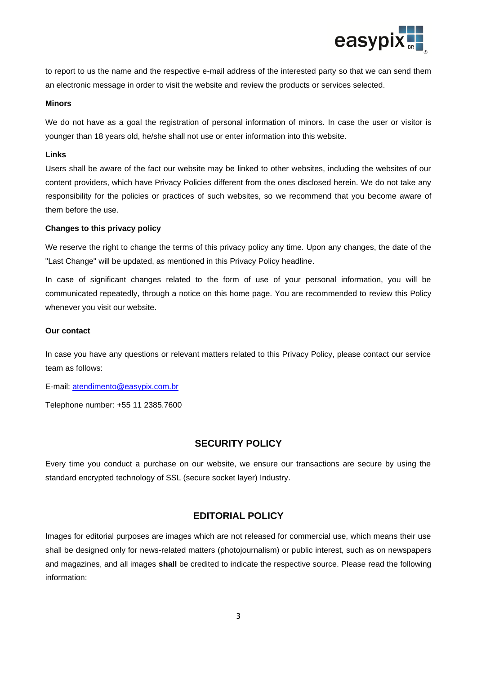

to report to us the name and the respective e-mail address of the interested party so that we can send them an electronic message in order to visit the website and review the products or services selected.

#### **Minors**

We do not have as a goal the registration of personal information of minors. In case the user or visitor is younger than 18 years old, he/she shall not use or enter information into this website.

#### **Links**

Users shall be aware of the fact our website may be linked to other websites, including the websites of our content providers, which have Privacy Policies different from the ones disclosed herein. We do not take any responsibility for the policies or practices of such websites, so we recommend that you become aware of them before the use.

#### **Changes to this privacy policy**

We reserve the right to change the terms of this privacy policy any time. Upon any changes, the date of the "Last Change" will be updated, as mentioned in this Privacy Policy headline.

In case of significant changes related to the form of use of your personal information, you will be communicated repeatedly, through a notice on this home page. You are recommended to review this Policy whenever you visit our website.

## **Our contact**

In case you have any questions or relevant matters related to this Privacy Policy, please contact our service team as follows:

E-mail: [atendimento@easypix.com.br](mailto:atendimento@easypix.com.br)

Telephone number: +55 11 2385.7600

## **SECURITY POLICY**

Every time you conduct a purchase on our website, we ensure our transactions are secure by using the standard encrypted technology of SSL (secure socket layer) Industry.

## **EDITORIAL POLICY**

Images for editorial purposes are images which are not released for commercial use, which means their use shall be designed only for news-related matters (photojournalism) or public interest, such as on newspapers and magazines, and all images **shall** be credited to indicate the respective source. Please read the following information: